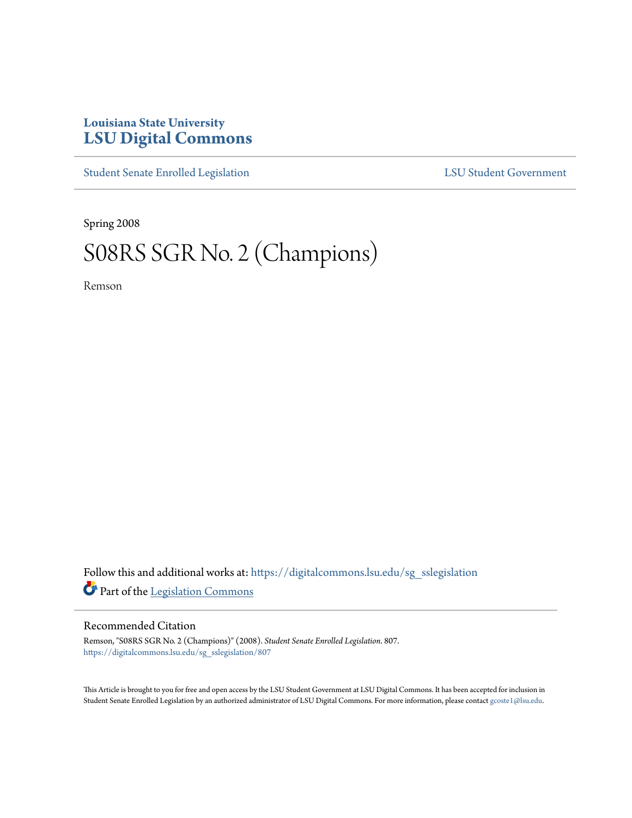# **Louisiana State University [LSU Digital Commons](https://digitalcommons.lsu.edu?utm_source=digitalcommons.lsu.edu%2Fsg_sslegislation%2F807&utm_medium=PDF&utm_campaign=PDFCoverPages)**

[Student Senate Enrolled Legislation](https://digitalcommons.lsu.edu/sg_sslegislation?utm_source=digitalcommons.lsu.edu%2Fsg_sslegislation%2F807&utm_medium=PDF&utm_campaign=PDFCoverPages) [LSU Student Government](https://digitalcommons.lsu.edu/sg?utm_source=digitalcommons.lsu.edu%2Fsg_sslegislation%2F807&utm_medium=PDF&utm_campaign=PDFCoverPages)

Spring 2008

# S08RS SGR No. 2 (Champions)

Remson

Follow this and additional works at: [https://digitalcommons.lsu.edu/sg\\_sslegislation](https://digitalcommons.lsu.edu/sg_sslegislation?utm_source=digitalcommons.lsu.edu%2Fsg_sslegislation%2F807&utm_medium=PDF&utm_campaign=PDFCoverPages) Part of the [Legislation Commons](http://network.bepress.com/hgg/discipline/859?utm_source=digitalcommons.lsu.edu%2Fsg_sslegislation%2F807&utm_medium=PDF&utm_campaign=PDFCoverPages)

## Recommended Citation

Remson, "S08RS SGR No. 2 (Champions)" (2008). *Student Senate Enrolled Legislation*. 807. [https://digitalcommons.lsu.edu/sg\\_sslegislation/807](https://digitalcommons.lsu.edu/sg_sslegislation/807?utm_source=digitalcommons.lsu.edu%2Fsg_sslegislation%2F807&utm_medium=PDF&utm_campaign=PDFCoverPages)

This Article is brought to you for free and open access by the LSU Student Government at LSU Digital Commons. It has been accepted for inclusion in Student Senate Enrolled Legislation by an authorized administrator of LSU Digital Commons. For more information, please contact [gcoste1@lsu.edu.](mailto:gcoste1@lsu.edu)